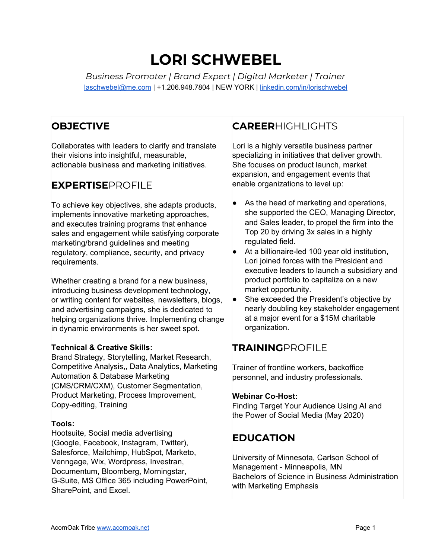# **LORI SCHWEBEL**

*Business Promoter | Brand Expert | Digital Marketer | Trainer* [laschwebel@me.com](mailto:laschwebel@me.com) | +1.206.948.7804 | NEW YORK | [linkedin.com/in/lorischwebel](http://linkedin.com/in/lorischwebel)

# **OBJECTIVE**

Collaborates with leaders to clarify and translate their visions into insightful, measurable, actionable business and marketing initiatives.

# **EXPERTISE**PROFILE

To achieve key objectives, she adapts products, implements innovative marketing approaches, and executes training programs that enhance sales and engagement while satisfying corporate marketing/brand guidelines and meeting regulatory, compliance, security, and privacy requirements.

Whether creating a brand for a new business, introducing business development technology, or writing content for websites, newsletters, blogs, and advertising campaigns, she is dedicated to helping organizations thrive. Implementing change in dynamic environments is her sweet spot.

#### **Technical & Creative Skills:**

Brand Strategy, Storytelling, Market Research, Competitive Analysis,, Data Analytics, Marketing Automation & Database Marketing (CMS/CRM/CXM), Customer Segmentation, Product Marketing, Process Improvement, Copy-editing, Training

#### **Tools:**

Hootsuite, Social media advertising (Google, Facebook, Instagram, Twitter), Salesforce, Mailchimp, HubSpot, Marketo, Venngage, Wix, Wordpress, Investran, Documentum, Bloomberg, Morningstar, G-Suite, MS Office 365 including PowerPoint, SharePoint, and Excel.

# **CAREER**HIGHLIGHTS

Lori is a highly versatile business partner specializing in initiatives that deliver growth. She focuses on product launch, market expansion, and engagement events that enable organizations to level up:

- As the head of marketing and operations, she supported the CEO, Managing Director, and Sales leader, to propel the firm into the Top 20 by driving 3x sales in a highly regulated field.
- At a billionaire-led 100 year old institution, Lori joined forces with the President and executive leaders to launch a subsidiary and product portfolio to capitalize on a new market opportunity.
- She exceeded the President's objective by nearly doubling key stakeholder engagement at a major event for a \$15M charitable organization.

# **TRAINING**PROFILE

Trainer of frontline workers, backoffice personnel, and industry professionals.

#### **Webinar Co-Host:**

Finding Target Your Audience Using AI and the Power of Social Media (May 2020)

# **EDUCATION**

University of Minnesota, Carlson School of Management - Minneapolis, MN Bachelors of Science in Business Administration with Marketing Emphasis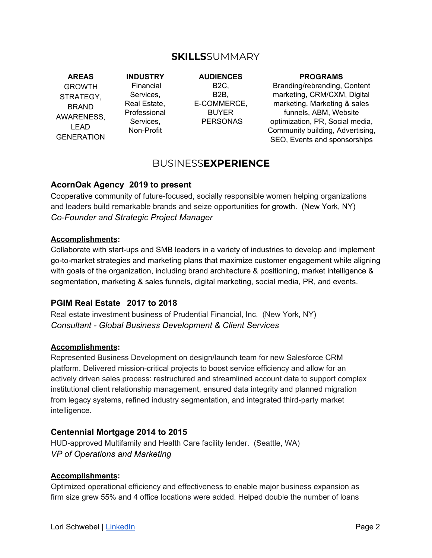# **SKILLS**SUMMARY

#### **AREAS**

GROWTH STRATEGY, BRAND AWARENESS, LEAD **GENERATION** 

**INDUSTRY** Financial Services, Real Estate, Professional Services, Non-Profit

**AUDIENCES** B2C, B2B, E-COMMERCE, BUYER PERSONAS

#### **PROGRAMS**

Branding/rebranding, Content marketing, CRM/CXM, Digital marketing, Marketing & sales funnels, ABM, Website optimization, PR, Social media, Community building, Advertising, SEO, Events and sponsorships

# BUSINESS**EXPERIENCE**

#### **AcornOak Agency 2019 to present**

Cooperative community of future-focused, socially responsible women helping organizations and leaders build remarkable brands and seize opportunities for growth. (New York, NY) *Co-Founder and Strategic Project Manager*

#### **Accomplishments:**

Collaborate with start-ups and SMB leaders in a variety of industries to develop and implement go-to-market strategies and marketing plans that maximize customer engagement while aligning with goals of the organization, including brand architecture & positioning, market intelligence & segmentation, marketing & sales funnels, digital marketing, social media, PR, and events.

#### **PGIM Real Estate 2017 to 2018**

Real estate investment business of Prudential Financial, Inc. (New York, NY) *Consultant - Global Business Development & Client Services*

#### **Accomplishments:**

Represented Business Development on design/launch team for new Salesforce CRM platform. Delivered mission-critical projects to boost service efficiency and allow for an actively driven sales process: restructured and streamlined account data to support complex institutional client relationship management, ensured data integrity and planned migration from legacy systems, refined industry segmentation, and integrated third-party market intelligence.

#### **Centennial Mortgage 2014 to 2015**

HUD-approved Multifamily and Health Care facility lender. (Seattle, WA) *VP of Operations and Marketing*

#### **Accomplishments:**

Optimized operational efficiency and effectiveness to enable major business expansion as firm size grew 55% and 4 office locations were added. Helped double the number of loans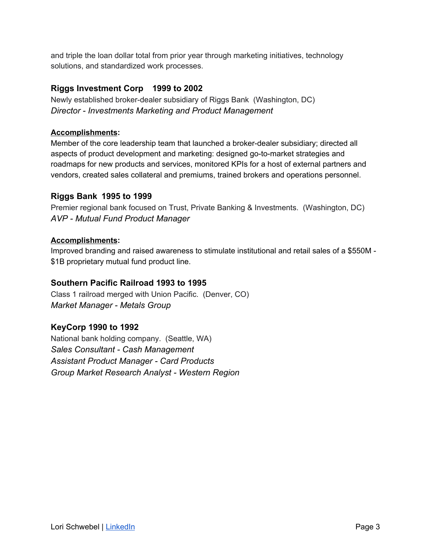and triple the loan dollar total from prior year through marketing initiatives, technology solutions, and standardized work processes.

# **Riggs Investment Corp 1999 to 2002**

Newly established broker-dealer subsidiary of Riggs Bank (Washington, DC) *Director - Investments Marketing and Product Management*

### **Accomplishments:**

Member of the core leadership team that launched a broker-dealer subsidiary; directed all aspects of product development and marketing: designed go-to-market strategies and roadmaps for new products and services, monitored KPIs for a host of external partners and vendors, created sales collateral and premiums, trained brokers and operations personnel.

### **Riggs Bank 1995 to 1999**

Premier regional bank focused on Trust, Private Banking & Investments. (Washington, DC) *AVP - Mutual Fund Product Manager*

### **Accomplishments:**

Improved branding and raised awareness to stimulate institutional and retail sales of a \$550M - \$1B proprietary mutual fund product line.

# **Southern Pacific Railroad 1993 to 1995**

Class 1 railroad merged with Union Pacific. (Denver, CO) *Market Manager - Metals Group*

# **KeyCorp 1990 to 1992**

National bank holding company. (Seattle, WA) *Sales Consultant - Cash Management Assistant Product Manager - Card Products Group Market Research Analyst - Western Region*